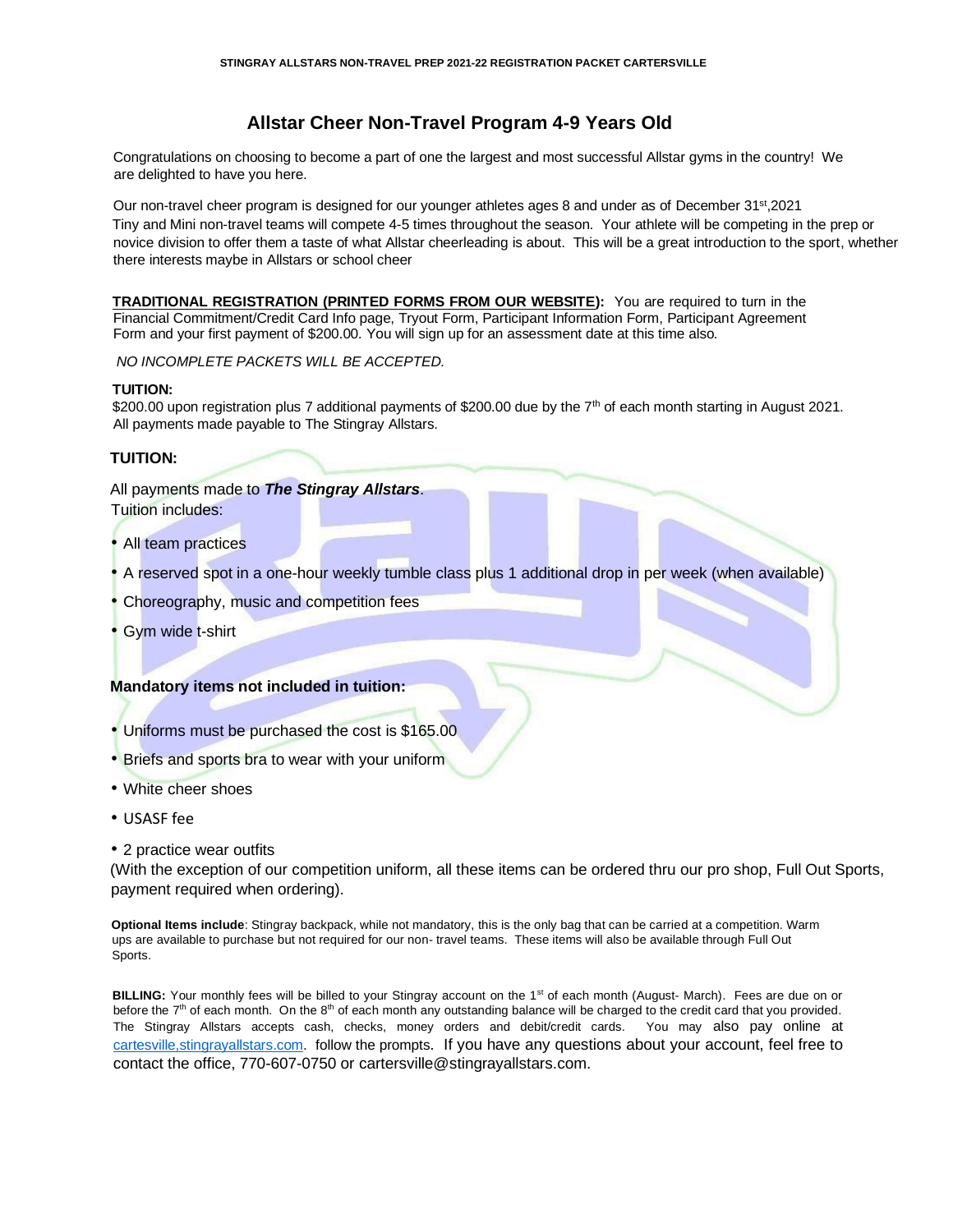# **Allstar Cheer Non-Travel Program 4-9 Years Old**

Congratulations on choosing to become a part of one the largest and most successful Allstar gyms in the country! We are delighted to have you here.

Our non-travel cheer program is designed for our younger athletes ages 8 and under as of December 31<sup>st</sup>,2021 Tiny and Mini non-travel teams will compete 4-5 times throughout the season. Your athlete will be competing in the prep or novice division to offer them a taste of what Allstar cheerleading is about. This will be a great introduction to the sport, whether there interests maybe in Allstars or school cheer

**TRADITIONAL REGISTRATION (PRINTED FORMS FROM OUR WEBSITE):** You are required to turn in the Financial Commitment/Credit Card Info page, Tryout Form, Participant Information Form, Participant Agreement Form and your first payment of \$200.00*.* You will sign up for an assessment date at this time also*.* 

*NO INCOMPLETE PACKETS WILL BE ACCEPTED.*

### **TUITION:**

\$200.00 upon registration plus 7 additional payments of \$200.00 due by the 7<sup>th</sup> of each month starting in August 2021. All payments made payable to The Stingray Allstars.

# **TUITION:**

All payments made to *The Stingray Allstars*. Tuition includes:

- All team practices
- A reserved spot in a one-hour weekly tumble class plus 1 additional drop in per week (when available)
- Choreography, music and competition fees
- Gym wide t-shirt

# **Mandatory items not included in tuition:**

- Uniforms must be purchased the cost is \$165.00
- Briefs and sports bra to wear with your uniform
- White cheer shoes
- USASF fee
- 2 practice wear outfits

(With the exception of our competition uniform, all these items can be ordered thru our pro shop, Full Out Sports, payment required when ordering).

**Optional Items include**: Stingray backpack, while not mandatory, this is the only bag that can be carried at a competition. Warm ups are available to purchase but not required for our non- travel teams. These items will also be available through Full Out Sports.

**BILLING:** Your monthly fees will be billed to your Stingray account on the 1<sup>st</sup> of each month (August- March). Fees are due on or before the 7<sup>th</sup> of each month. On the 8<sup>th</sup> of each month any outstanding balance will be charged to the credit card that you provided. The Stingray Allstars accepts cash, checks, money orders and debit/credit cards. You may also pay online [at](http://www.stingrayallstars.com/)  [cartesville,stingrayallstars.com. f](http://www.stingrayallstars.com/)ollow the prompts. If you have any questions about your account, feel free to contact the office, 770-607-0750 or cartersville@stingrayallstars.com.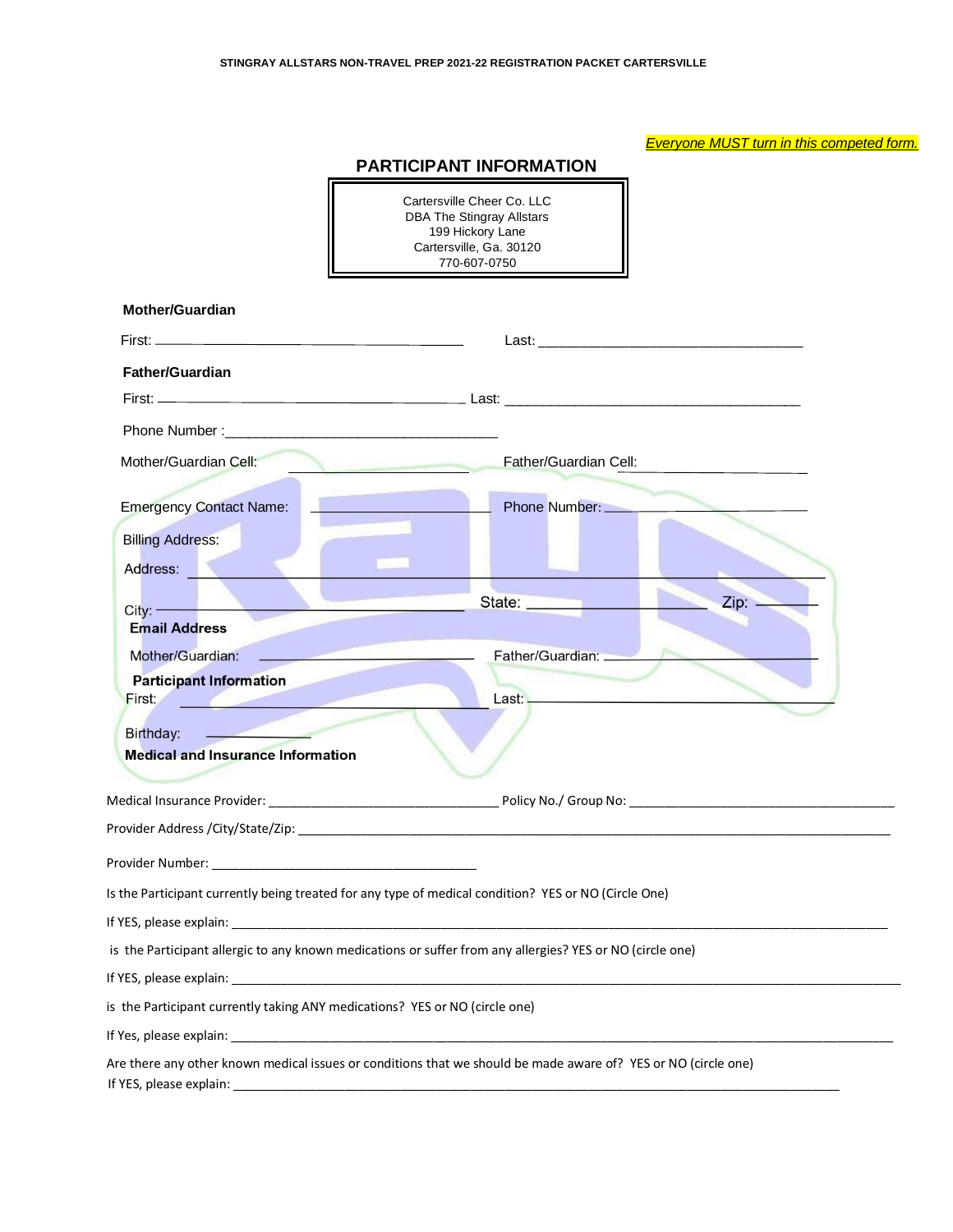# *Everyone MUST turn in this competed form.*

# **PARTICIPANT INFORMATION**

 $\overline{\mathbf{u}}$ 

F

|                                                                               | <b>DBA The Stingray Allstars</b><br>199 Hickory Lane<br>Cartersville, Ga. 30120<br>770-607-0750                                                                                                                                |
|-------------------------------------------------------------------------------|--------------------------------------------------------------------------------------------------------------------------------------------------------------------------------------------------------------------------------|
| <b>Mother/Guardian</b>                                                        |                                                                                                                                                                                                                                |
|                                                                               |                                                                                                                                                                                                                                |
| <b>Father/Guardian</b>                                                        |                                                                                                                                                                                                                                |
|                                                                               |                                                                                                                                                                                                                                |
|                                                                               |                                                                                                                                                                                                                                |
| Mother/Guardian Cell:                                                         | Father/Guardian Cell:                                                                                                                                                                                                          |
|                                                                               |                                                                                                                                                                                                                                |
| <b>Emergency Contact Name:</b>                                                | Phone Number:                                                                                                                                                                                                                  |
| <b>Billing Address:</b>                                                       |                                                                                                                                                                                                                                |
| Address:                                                                      |                                                                                                                                                                                                                                |
| $City:$ ——                                                                    | State: __________<br>Zip: -                                                                                                                                                                                                    |
| <b>Email Address</b>                                                          |                                                                                                                                                                                                                                |
| Mother/Guardian:                                                              | Father/Guardian: _                                                                                                                                                                                                             |
| <b>Participant Information</b>                                                |                                                                                                                                                                                                                                |
| First: <b>First:</b>                                                          |                                                                                                                                                                                                                                |
| $\sim$ $\sim$ $\sim$<br>Birthday:<br><b>Medical and Insurance Information</b> |                                                                                                                                                                                                                                |
|                                                                               |                                                                                                                                                                                                                                |
|                                                                               |                                                                                                                                                                                                                                |
|                                                                               | Provider Address /City/State/Zip: with a state of the state of the state of the state of the state of the state of the state of the state of the state of the state of the state of the state of the state of the state of the |
|                                                                               |                                                                                                                                                                                                                                |
|                                                                               | Is the Participant currently being treated for any type of medical condition? YES or NO (Circle One)                                                                                                                           |
|                                                                               |                                                                                                                                                                                                                                |
|                                                                               | is the Participant allergic to any known medications or suffer from any allergies? YES or NO (circle one)                                                                                                                      |
|                                                                               |                                                                                                                                                                                                                                |
|                                                                               | is the Participant currently taking ANY medications? YES or NO (circle one)                                                                                                                                                    |
|                                                                               |                                                                                                                                                                                                                                |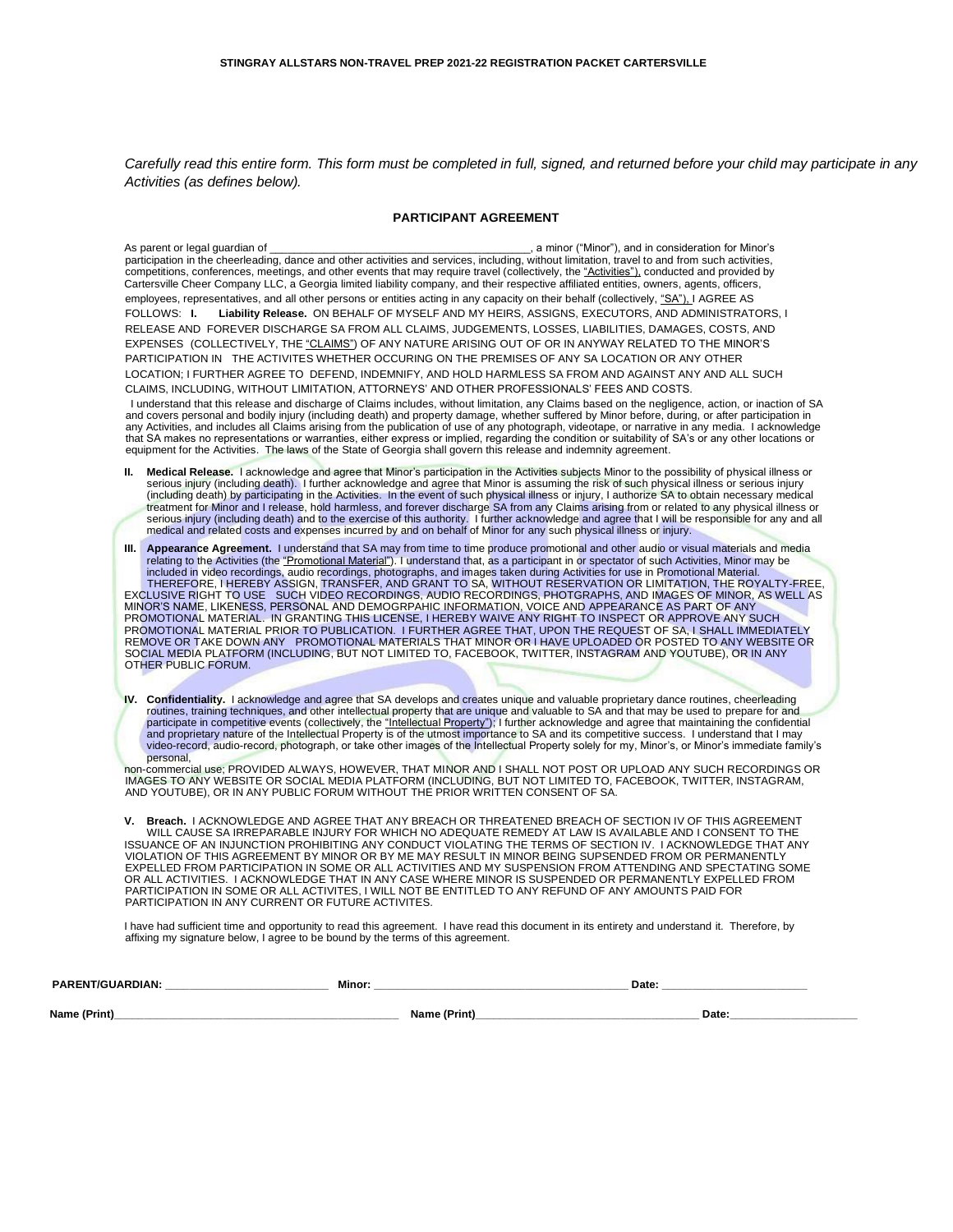*Carefully read this entire form. This form must be completed in full, signed, and returned before your child may participate in any Activities (as defines below).* 

#### **PARTICIPANT AGREEMENT**

As parent or legal guardian of \_\_\_\_\_\_\_\_\_\_\_\_\_\_\_\_\_\_\_\_\_\_\_\_\_\_\_\_\_\_\_\_\_\_\_\_\_\_\_\_\_\_\_, a minor ("Minor"), and in consideration for Minor's participation in the cheerleading, dance and other activities and services, including, without limitation, travel to and from such activities, competitions, conferences, meetings, and other events that may require travel (collectively, the "Activities"), conducted and provided by Cartersville Cheer Company LLC, a Georgia limited liability company, and their respective affiliated entities, owners, agents, officers, employees, representatives, and all other persons or entities acting in any capacity on their behalf (collectively, "SA"), I AGREE AS FOLLOWS: **I. Liability Release.** ON BEHALF OF MYSELF AND MY HEIRS, ASSIGNS, EXECUTORS, AND ADMINISTRATORS, I RELEASE AND FOREVER DISCHARGE SA FROM ALL CLAIMS, JUDGEMENTS, LOSSES, LIABILITIES, DAMAGES, COSTS, AND EXPENSES (COLLECTIVELY, THE "CLAIMS") OF ANY NATURE ARISING OUT OF OR IN ANYWAY RELATED TO THE MINOR'S PARTICIPATION IN THE ACTIVITES WHETHER OCCURING ON THE PREMISES OF ANY SA LOCATION OR ANY OTHER LOCATION; I FURTHER AGREE TO DEFEND, INDEMNIFY, AND HOLD HARMLESS SA FROM AND AGAINST ANY AND ALL SUCH CLAIMS, INCLUDING, WITHOUT LIMITATION, ATTORNEYS' AND OTHER PROFESSIONALS' FEES AND COSTS.

 I understand that this release and discharge of Claims includes, without limitation, any Claims based on the negligence, action, or inaction of SA and covers personal and bodily injury (including death) and property damage, whether suffered by Minor before, during, or after participation in any Activities, and includes all Claims arising from the publication of use of any photograph, videotape, or narrative in any media. I acknowledge that SA makes no representations or warranties, either express or implied, regarding the condition or suitability of SA's or any other locations or equipment for the Activities. The laws of the State of Georgia shall govern this release and indemnity agreement.

Medical Release. I acknowledge and agree that Minor's participation in the Activities subjects Minor to the possibility of physical illness or serious injury (including death). I further acknowledge and agree that Minor is assuming the risk of such physical illness or serious injury (including death) by participating in the Activities. In the event of such physical illness or injury, I authorize SA to obtain necessary medical<br>treatment for Minor and I release, hold harmless, and forever discharge SA f serious injury (including death) and to the exercise of this authority. I further acknowledge and agree that I will be responsible for any and all<br>medical and related costs and expenses incurred by and on behalf of Minor f

**III. Appearance Agreement.** I understand that SA may from time to time produce promotional and other audio or visual materials and media relating to the Activities (the "Promotional Material"). I understand that, as a participant in or spectator of such Activities, Minor may be included in video recordings, audio recordings, photographs, and images taken during Activities for use in Promotional Material.<br>THEREFORE, I HEREBY ASSIGN, TRANSFER, AND GRANT TO SA, WITHOUT RESERVATION OR LIMITATION, THE MINOR'S NAME, LIKENESS, PERSONAL AND DEMOGRPAHIC INFORMATION, VOICE AND APPEARANCE AS PART OF ANY PROMOTIONAL MATERIAL. IN GRANTING THIS LICENSE, I HEREBY WAIVE ANY RIGHT TO INSPECT OR APPROVE ANY SUCH<br>PROMOTIONAL MATERIAL PRIOR TO PUBLICATION. I FURTHER AGREE THAT, UPON THE REQUEST OF SA, I SHALL IMMEDIATELY<br>REMOVE OTHER PUBLIC FORUM.

**IV. Confidentiality.** I acknowledge and agree that SA develops and creates unique and valuable proprietary dance routines, cheerleading routines, training techniques, and other intellectual property that are unique and valuable to SA and that may be used to prepare for and participate in competitive events (collectively, the "Intellectual Property"); I further acknowledge and agree that maintaining the confidential and proprietary nature of the Intellectual Property is of the utmost importance to SA and its competitive success. I understand that I may video-record, audio-record, photograph, or take other images of the Intellectual Property solely for my, Minor's, or Minor's immediate family's personal,

non-commercial use; PROVIDED ALWAYS, HOWEVER, THAT MINOR AND I SHALL NOT POST OR UPLOAD ANY SUCH RECORDINGS OR<br>IMAGES TO ANY WEBSITE OR SOCIAL MEDIA PLATFORM (INCLUDING, BUT NOT LIMITED TO, FACEBOOK, TWITTER, INSTAGRAM, AND YOUTUBE), OR IN ANY PUBLIC FORUM WITHOUT THE PRIOR WRITTEN CONSENT OF SA.

**V. Breach.** I ACKNOWLEDGE AND AGREE THAT ANY BREACH OR THREATENED BREACH OF SECTION IV OF THIS AGREEMENT WILL CAUSE SA IRREPARABLE INJURY FOR WHICH NO ADEQUATE REMEDY AT LAW IS AVAILABLE AND I CONSENT TO THE<br>ISSUANCE OF AN INJUNCTION PROHIBITING ANY CONDUCT VIOLATING THE TERMS OF SECTION IV. I ACKNOWLEDGE THAT ANY<br>VIOLATION O OR ALL ACTIVITIES. I ACKNOWLEDGE THAT IN ANY CASE WHERE MINOR IS SUSPENDED OR PERMANENTLY EXPELLED FROM PARTICIPATION IN SOME OR ALL ACTIVITES, I WILL NOT BE ENTITLED TO ANY REFUND OF ANY AMOUNTS PAID FOR PARTICIPATION IN ANY CURRENT OR FUTURE ACTIVITES.

I have had sufficient time and opportunity to read this agreement. I have read this document in its entirety and understand it. Therefore, by affixing my signature below, I agree to be bound by the terms of this agreement.

| <b>PARENT/GUARDIAN:</b> | Minor <sup>.</sup> | Date:             |
|-------------------------|--------------------|-------------------|
| Name (Print)            | Name (Print)       | Date:<br>________ |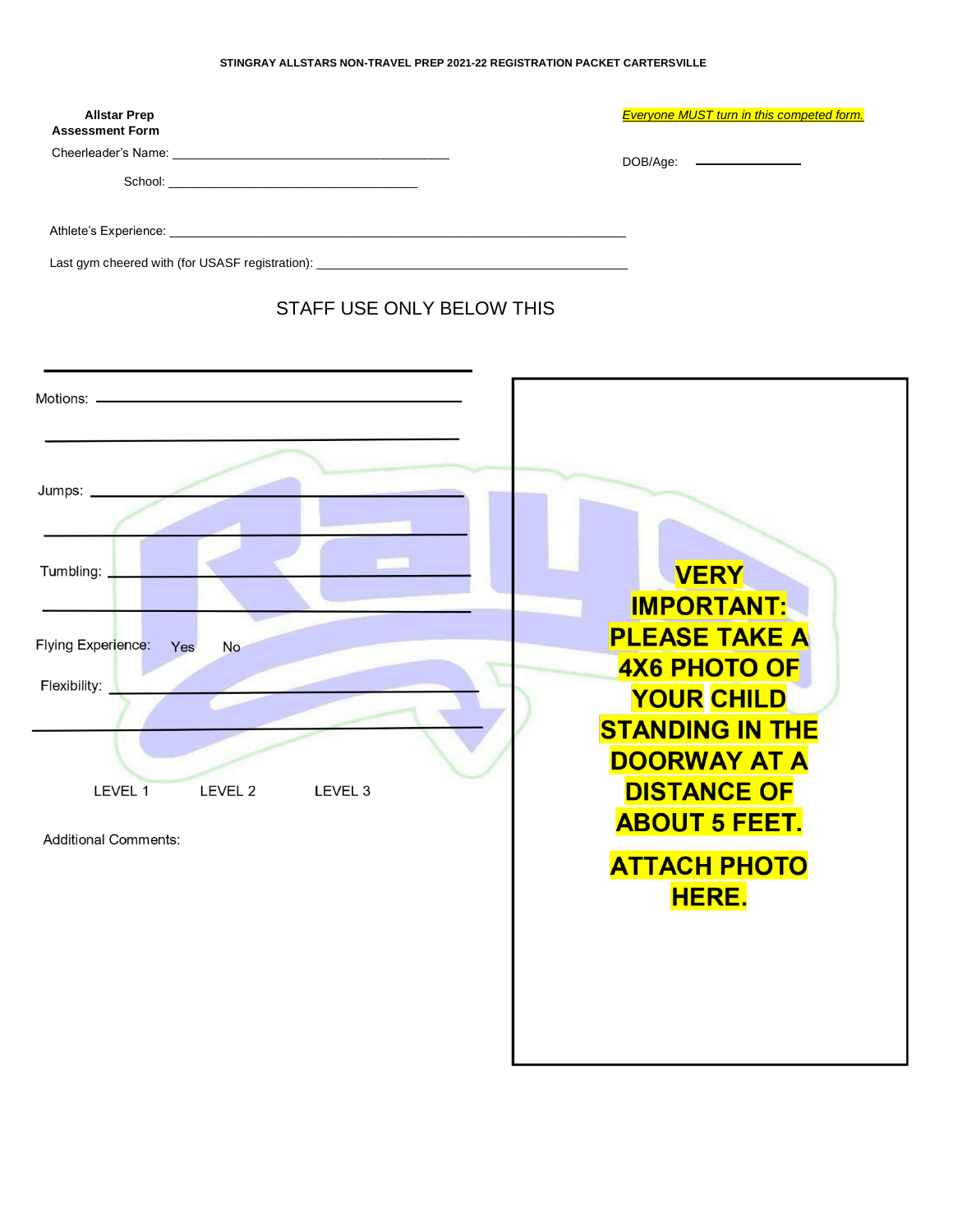#### **STINGRAY ALLSTARS NON-TRAVEL PREP 2021-22 REGISTRATION PACKET CARTERSVILLE**

| <b>Allstar Prep</b><br><b>Assessment Form</b> | <b>Everyone MUST turn in this competed form.</b> |
|-----------------------------------------------|--------------------------------------------------|
|                                               | DOB/Age: ________________                        |
|                                               |                                                  |
|                                               |                                                  |
|                                               |                                                  |
| STAFF USE ONLY BELOW THIS                     |                                                  |
|                                               |                                                  |
|                                               |                                                  |
|                                               |                                                  |
| Tumbling: _                                   | <b>VERY</b><br><b>IMPORTANT:</b>                 |
| Flying Experience:<br>Yes<br><b>No</b>        | <b>PLEASE TAKE A</b>                             |
| Flexibility:                                  | <b>4X6 PHOTO OF</b>                              |
|                                               | <b>YOUR CHILD</b><br><b>STANDING IN THE</b>      |
|                                               | <b>DOORWAY AT A</b>                              |
| LEVEL 1<br>LEVEL 2<br>LEVEL <sub>3</sub>      | <b>DISTANCE OF</b>                               |
| <b>Additional Comments:</b>                   | <b>ABOUT 5 FEET.</b>                             |
|                                               | <b>ATTACH PHOTO</b>                              |
|                                               | <b>HERE.</b>                                     |
|                                               |                                                  |
|                                               |                                                  |
|                                               |                                                  |
|                                               |                                                  |